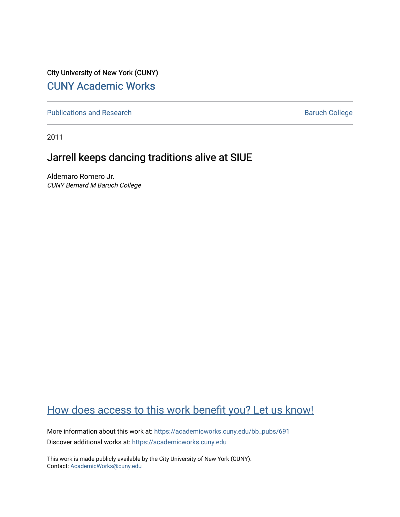City University of New York (CUNY) [CUNY Academic Works](https://academicworks.cuny.edu/) 

[Publications and Research](https://academicworks.cuny.edu/bb_pubs) **Baruch College** Baruch College

2011

## Jarrell keeps dancing traditions alive at SIUE

Aldemaro Romero Jr. CUNY Bernard M Baruch College

## [How does access to this work benefit you? Let us know!](http://ols.cuny.edu/academicworks/?ref=https://academicworks.cuny.edu/bb_pubs/691)

More information about this work at: [https://academicworks.cuny.edu/bb\\_pubs/691](https://academicworks.cuny.edu/bb_pubs/691)  Discover additional works at: [https://academicworks.cuny.edu](https://academicworks.cuny.edu/?)

This work is made publicly available by the City University of New York (CUNY). Contact: [AcademicWorks@cuny.edu](mailto:AcademicWorks@cuny.edu)